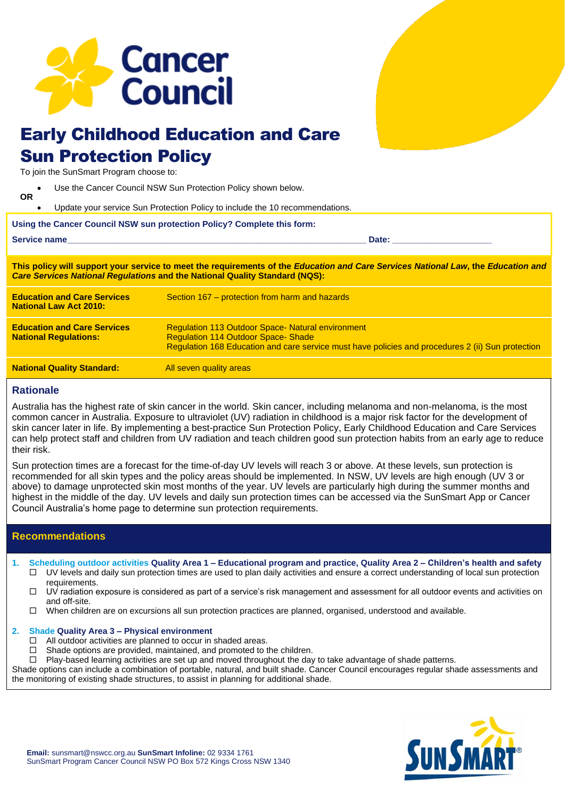

# Early Childhood Education and Care Sun Protection Policy

To join the SunSmart Program choose to:

- Use the Cancer Council NSW Sun Protection Policy shown below. **OR**
- Update your service Sun Protection Policy to include the 10 recommendations.

# **Using the Cancer Council NSW sun protection Policy? Complete this form:**

| <b>Service name</b> | Date |  |
|---------------------|------|--|
|                     |      |  |

**This policy will support your service to meet the requirements of the** *Education and Care Services National Law***, the** *Education and Care Services National Regulations* **and the National Quality Standard (NQS):**

| <b>Education and Care Services</b><br><b>National Law Act 2010:</b> | Section 167 – protection from harm and hazards                                                                                                                                                             |
|---------------------------------------------------------------------|------------------------------------------------------------------------------------------------------------------------------------------------------------------------------------------------------------|
| <b>Education and Care Services</b><br><b>National Requlations:</b>  | <b>Regulation 113 Outdoor Space- Natural environment</b><br><b>Regulation 114 Outdoor Space-Shade</b><br>Regulation 168 Education and care service must have policies and procedures 2 (ii) Sun protection |
| <b>National Quality Standard:</b>                                   | All seven quality areas                                                                                                                                                                                    |

# **Rationale**

Australia has the highest rate of skin cancer in the world. Skin cancer, including melanoma and non-melanoma, is the most common cancer in Australia. Exposure to ultraviolet (UV) radiation in childhood is a major risk factor for the development of skin cancer later in life. By implementing a best-practice Sun Protection Policy, Early Childhood Education and Care Services can help protect staff and children from UV radiation and teach children good sun protection habits from an early age to reduce their risk.

Sun protection times are a forecast for the time-of-day UV levels will reach 3 or above. At these levels, sun protection is recommended for all skin types and the policy areas should be implemented. In NSW, UV levels are high enough (UV 3 or above) to damage unprotected skin most months of the year. UV levels are particularly high during the summer months and highest in the middle of the day. UV levels and daily sun protection times can be accessed via the SunSmart App or Cancer Council Australia's home page to determine sun protection requirements.

# **Recommendations**

- **1. Scheduling outdoor activities Quality Area 1 – Educational program and practice, Quality Area 2 – Children's health and safety**  $\Box$  UV levels and daily sun protection times are used to plan daily activities and ensure a correct understanding of local sun protection requirements.
	- $\Box$  UV radiation exposure is considered as part of a service's risk management and assessment for all outdoor events and activities on and off-site.
	- $\Box$  When children are on excursions all sun protection practices are planned, organised, understood and available.

# **2. Shade Quality Area 3 – Physical environment**

- $\Box$  All outdoor activities are planned to occur in shaded areas.<br> $\Box$  Shade options are provided maintained and promoted to t
	- Shade options are provided, maintained, and promoted to the children.
- $\Box$  Play-based learning activities are set up and moved throughout the day to take advantage of shade patterns.

Shade options can include a combination of portable, natural, and built shade. Cancer Council encourages regular shade assessments and the monitoring of existing shade structures, to assist in planning for additional shade.